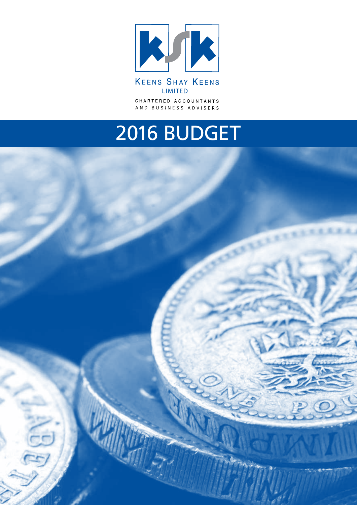

**KEENS SHAY KEENS** LIMITED CHARTERED ACCOUNTANTS AND BUSINESS ADVISERS

# 2016 BUDGET

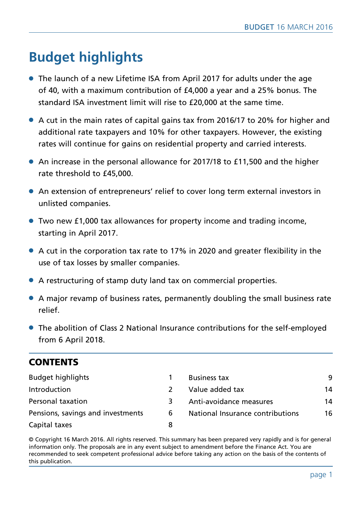## **Budget highlights**

- The launch of a new Lifetime ISA from April 2017 for adults under the age of 40, with a maximum contribution of £4,000 a year and a 25% bonus. The standard ISA investment limit will rise to £20,000 at the same time.
- $\bullet$  A cut in the main rates of capital gains tax from 2016/17 to 20% for higher and additional rate taxpayers and 10% for other taxpayers. However, the existing rates will continue for gains on residential property and carried interests.
- An increase in the personal allowance for 2017/18 to £11,500 and the higher rate threshold to £45,000.
- An extension of entrepreneurs' relief to cover long term external investors in unlisted companies.
- l Two new £1,000 tax allowances for property income and trading income, starting in April 2017.
- $\bullet$  A cut in the corporation tax rate to 17% in 2020 and greater flexibility in the use of tax losses by smaller companies.
- A restructuring of stamp duty land tax on commercial properties.
- l A major revamp of business rates, permanently doubling the small business rate relief.
- The abolition of Class 2 National Insurance contributions for the self-employed from 6 April 2018.

## **CONTENTS**

| <b>Budget highlights</b>          |   | <b>Business tax</b>              | 9  |
|-----------------------------------|---|----------------------------------|----|
| Introduction                      |   | Value added tax                  | 14 |
| Personal taxation                 | 3 | Anti-avoidance measures          | 14 |
| Pensions, savings and investments | 6 | National Insurance contributions | 16 |
| Capital taxes                     | 8 |                                  |    |

© Copyright 16 March 2016. All rights reserved. This summary has been prepared very rapidly and is for general information only. The proposals are in any event subject to amendment before the Finance Act. You are recommended to seek competent professional advice before taking any action on the basis of the contents of this publication.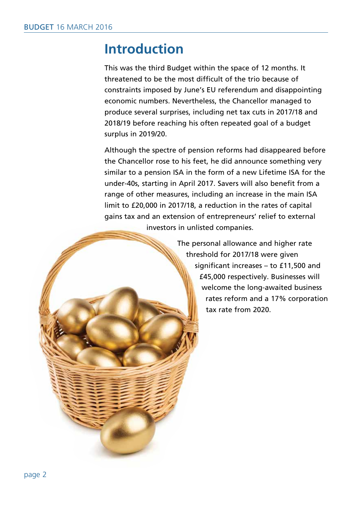## **Introduction**

This was the third Budget within the space of 12 months. It threatened to be the most difficult of the trio because of constraints imposed by June's EU referendum and disappointing economic numbers. Nevertheless, the Chancellor managed to produce several surprises, including net tax cuts in 2017/18 and 2018/19 before reaching his often repeated goal of a budget surplus in 2019/20.

Although the spectre of pension reforms had disappeared before the Chancellor rose to his feet, he did announce something very similar to a pension ISA in the form of a new Lifetime ISA for the under-40s, starting in April 2017. Savers will also benefit from a range of other measures, including an increase in the main ISA limit to £20,000 in 2017/18, a reduction in the rates of capital gains tax and an extension of entrepreneurs' relief to external investors in unlisted companies.

> The personal allowance and higher rate threshold for 2017/18 were given significant increases – to £11,500 and £45,000 respectively. Businesses will welcome the long-awaited business rates reform and a 17% corporation tax rate from 2020.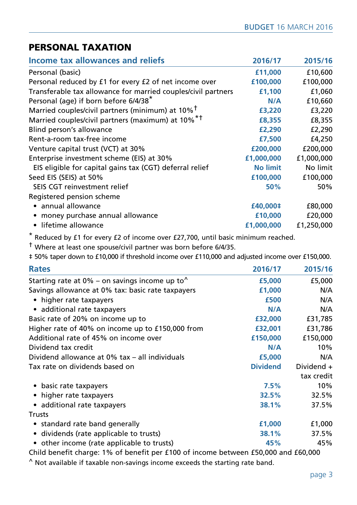## PERSONAL TAXATION

| Income tax allowances and reliefs                             | 2016/17         | 2015/16    |
|---------------------------------------------------------------|-----------------|------------|
| Personal (basic)                                              | £11,000         | £10,600    |
| Personal reduced by £1 for every £2 of net income over        | £100,000        | £100,000   |
| Transferable tax allowance for married couples/civil partners | £1,100          | £1,060     |
| Personal (age) if born before 6/4/38*                         | N/A             | £10,660    |
| Married couples/civil partners (minimum) at 10% <sup>†</sup>  | £3,220          | £3,220     |
| Married couples/civil partners (maximum) at 10% <sup>*†</sup> | £8,355          | £8,355     |
| Blind person's allowance                                      | £2,290          | £2,290     |
| Rent-a-room tax-free income                                   | £7,500          | £4,250     |
| Venture capital trust (VCT) at 30%                            | £200,000        | £200,000   |
| Enterprise investment scheme (EIS) at 30%                     | £1,000,000      | £1,000,000 |
| EIS eligible for capital gains tax (CGT) deferral relief      | <b>No limit</b> | No limit   |
| Seed EIS (SEIS) at 50%                                        | £100,000        | £100,000   |
| SEIS CGT reinvestment relief                                  | 50%             | 50%        |
| Registered pension scheme                                     |                 |            |
| • annual allowance                                            | £40,000‡        | £80,000    |
| money purchase annual allowance                               | £10,000         | £20,000    |
| • lifetime allowance                                          | £1,000,000      | £1,250,000 |

\* Reduced by £1 for every £2 of income over £27,700, until basic minimum reached.

† Where at least one spouse/civil partner was born before 6/4/35.

‡ 50% taper down to £10,000 if threshold income over £110,000 and adjusted income over £150,000.

| <b>Rates</b>                                              | 2016/17         | 2015/16    |
|-----------------------------------------------------------|-----------------|------------|
| Starting rate at 0% – on savings income up to $^{\wedge}$ | £5,000          | £5,000     |
| Savings allowance at 0% tax: basic rate taxpayers         | £1,000          | N/A        |
| • higher rate taxpayers                                   | £500            | N/A        |
| • additional rate taxpayers                               | N/A             | N/A        |
| Basic rate of 20% on income up to                         | £32,000         | £31,785    |
| Higher rate of 40% on income up to £150,000 from          | £32,001         | £31,786    |
| Additional rate of 45% on income over                     | £150,000        | £150,000   |
| Dividend tax credit                                       | N/A             | 10%        |
| Dividend allowance at 0% tax - all individuals            | £5,000          | N/A        |
| Tax rate on dividends based on                            | <b>Dividend</b> | Dividend + |
|                                                           |                 | tax credit |
| • basic rate taxpayers                                    | 7.5%            | 10%        |
| • higher rate taxpayers                                   | 32.5%           | 32.5%      |
| • additional rate taxpayers                               | 38.1%           | 37.5%      |
| <b>Trusts</b>                                             |                 |            |
| • standard rate band generally                            | £1,000          | £1,000     |
| • dividends (rate applicable to trusts)                   | 38.1%           | 37.5%      |
| • other income (rate applicable to trusts)                | 45%             | 45%        |

Child benefit charge: 1% of benefit per £100 of income between £50,000 and £60,000 ^ Not available if taxable non-savings income exceeds the starting rate band.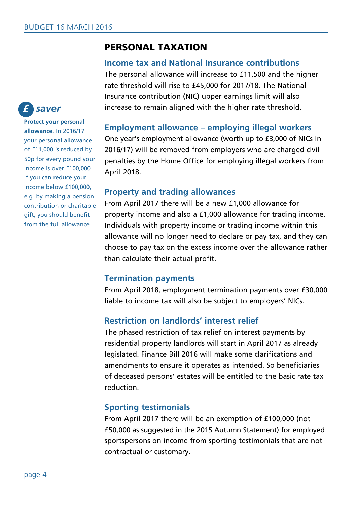## PERSONAL TAXATION

#### **Income tax and National Insurance contributions**

The personal allowance will increase to £11,500 and the higher rate threshold will rise to £45,000 for 2017/18. The National Insurance contribution (NIC) upper earnings limit will also increase to remain aligned with the higher rate threshold.

#### **Employment allowance – employing illegal workers**

One year's employment allowance (worth up to £3,000 of NICs in 2016/17) will be removed from employers who are charged civil penalties by the Home Office for employing illegal workers from April 2018.

#### **Property and trading allowances**

From April 2017 there will be a new £1,000 allowance for property income and also a £1,000 allowance for trading income. Individuals with property income or trading income within this allowance will no longer need to declare or pay tax, and they can choose to pay tax on the excess income over the allowance rather than calculate their actual profit.

#### **Termination payments**

From April 2018, employment termination payments over £30,000 liable to income tax will also be subject to employers' NICs.

## **Restriction on landlords' interest relief**

The phased restriction of tax relief on interest payments by residential property landlords will start in April 2017 as already legislated. Finance Bill 2016 will make some clarifications and amendments to ensure it operates as intended. So beneficiaries of deceased persons' estates will be entitled to the basic rate tax reduction.

## **Sporting testimonials**

From April 2017 there will be an exemption of £100,000 (not £50,000 as suggested in the 2015 Autumn Statement) for employed sportspersons on income from sporting testimonials that are not contractual or customary.

#### *saver £*

**Protect your personal allowance.** In 2016/17 your personal allowance of £11,000 is reduced by 50p for every pound your income is over £100,000. If you can reduce your income below £100,000, e.g. by making a pension contribution or charitable gift, you should benefit from the full allowance.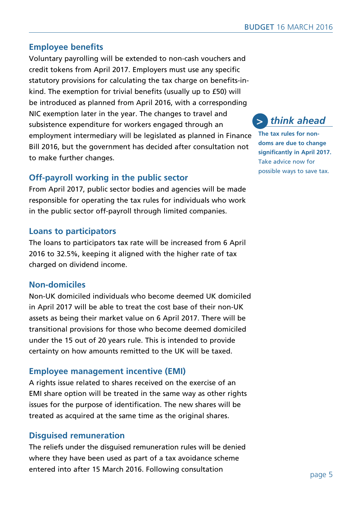## **Employee benefits**

Voluntary payrolling will be extended to non-cash vouchers and credit tokens from April 2017. Employers must use any specific statutory provisions for calculating the tax charge on benefits-inkind. The exemption for trivial benefits (usually up to £50) will be introduced as planned from April 2016, with a corresponding NIC exemption later in the year. The changes to travel and subsistence expenditure for workers engaged through an employment intermediary will be legislated as planned in Finance Bill 2016, but the government has decided after consultation not to make further changes.

## **Off-payroll working in the public sector**

From April 2017, public sector bodies and agencies will be made responsible for operating the tax rules for individuals who work in the public sector off-payroll through limited companies.

## **Loans to participators**

The loans to participators tax rate will be increased from 6 April 2016 to 32.5%, keeping it aligned with the higher rate of tax charged on dividend income.

## **Non-domiciles**

Non-UK domiciled individuals who become deemed UK domiciled in April 2017 will be able to treat the cost base of their non-UK assets as being their market value on 6 April 2017. There will be transitional provisions for those who become deemed domiciled under the 15 out of 20 years rule. This is intended to provide certainty on how amounts remitted to the UK will be taxed.

## **Employee management incentive (EMI)**

A rights issue related to shares received on the exercise of an EMI share option will be treated in the same way as other rights issues for the purpose of identification. The new shares will be treated as acquired at the same time as the original shares.

## **Disguised remuneration**

The reliefs under the disguised remuneration rules will be denied where they have been used as part of a tax avoidance scheme entered into after 15 March 2016. Following consultation



**The tax rules for nondoms are due to change significantly in April 2017.** Take advice now for possible ways to save tax.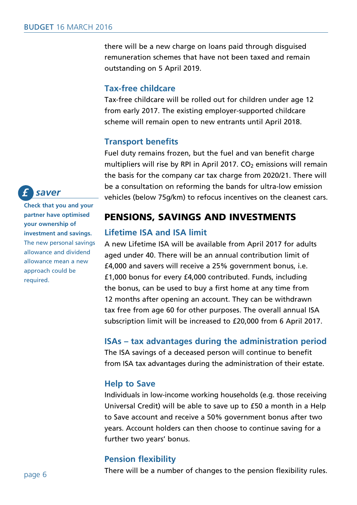there will be a new charge on loans paid through disguised remuneration schemes that have not been taxed and remain outstanding on 5 April 2019.

#### **Tax-free childcare**

Tax-free childcare will be rolled out for children under age 12 from early 2017. The existing employer-supported childcare scheme will remain open to new entrants until April 2018.

#### **Transport benefits**

Fuel duty remains frozen, but the fuel and van benefit charge multipliers will rise by RPI in April 2017.  $CO<sub>2</sub>$  emissions will remain the basis for the company car tax charge from 2020/21. There will be a consultation on reforming the bands for ultra-low emission vehicles (below 75g/km) to refocus incentives on the cleanest cars.

## PENSIONS, SAVINGS AND INVESTMENTS

## **Lifetime ISA and ISA limit**

A new Lifetime ISA will be available from April 2017 for adults aged under 40. There will be an annual contribution limit of £4,000 and savers will receive a 25% government bonus, i.e. £1,000 bonus for every £4,000 contributed. Funds, including the bonus, can be used to buy a first home at any time from 12 months after opening an account. They can be withdrawn tax free from age 60 for other purposes. The overall annual ISA subscription limit will be increased to £20,000 from 6 April 2017.

#### **ISAs – tax advantages during the administration period**

The ISA savings of a deceased person will continue to benefit from ISA tax advantages during the administration of their estate.

#### **Help to Save**

Individuals in low-income working households (e.g. those receiving Universal Credit) will be able to save up to £50 a month in a Help to Save account and receive a 50% government bonus after two years. Account holders can then choose to continue saving for a further two years' bonus.

## **Pension flexibility**

There will be a number of changes to the pension flexibility rules.

 *saver £*

**Check that you and your partner have optimised your ownership of investment and savings.** The new personal savings allowance and dividend allowance mean a new approach could be required.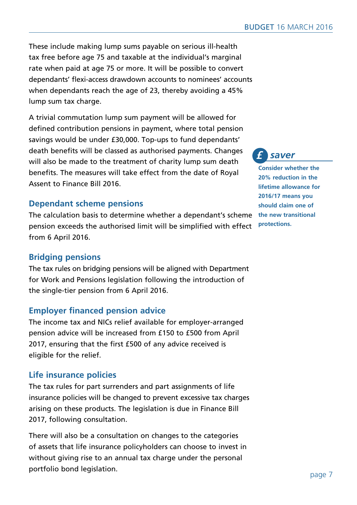These include making lump sums payable on serious ill-health tax free before age 75 and taxable at the individual's marginal rate when paid at age 75 or more. It will be possible to convert dependants' flexi-access drawdown accounts to nominees' accounts when dependants reach the age of 23, thereby avoiding a 45% lump sum tax charge.

A trivial commutation lump sum payment will be allowed for defined contribution pensions in payment, where total pension savings would be under £30,000. Top-ups to fund dependants' death benefits will be classed as authorised payments. Changes will also be made to the treatment of charity lump sum death benefits. The measures will take effect from the date of Royal Assent to Finance Bill 2016.

## **Dependant scheme pensions**

The calculation basis to determine whether a dependant's scheme **the new transitional**  pension exceeds the authorised limit will be simplified with effect from 6 April 2016.

## **Bridging pensions**

The tax rules on bridging pensions will be aligned with Department for Work and Pensions legislation following the introduction of the single-tier pension from 6 April 2016.

## **Employer financed pension advice**

The income tax and NICs relief available for employer-arranged pension advice will be increased from £150 to £500 from April 2017, ensuring that the first £500 of any advice received is eligible for the relief.

## **Life insurance policies**

The tax rules for part surrenders and part assignments of life insurance policies will be changed to prevent excessive tax charges arising on these products. The legislation is due in Finance Bill 2017, following consultation.

There will also be a consultation on changes to the categories of assets that life insurance policyholders can choose to invest in without giving rise to an annual tax charge under the personal portfolio bond legislation.

 *saver £*

**Consider whether the 20% reduction in the lifetime allowance for 2016/17 means you should claim one of protections.**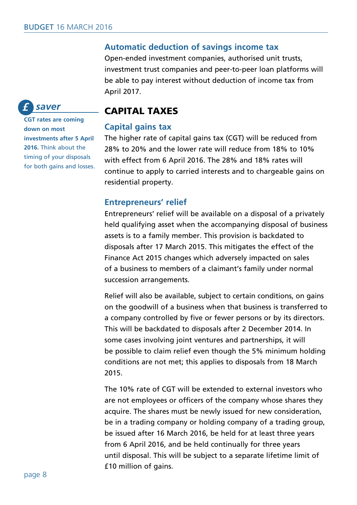#### **Automatic deduction of savings income tax**

Open-ended investment companies, authorised unit trusts, investment trust companies and peer-to-peer loan platforms will be able to pay interest without deduction of income tax from April 2017.

#### *saver £*

**CGT rates are coming down on most investments after 5 April 2016.** Think about the timing of your disposals for both gains and losses.

## CAPITAL TAXES

#### **Capital gains tax**

The higher rate of capital gains tax (CGT) will be reduced from 28% to 20% and the lower rate will reduce from 18% to 10% with effect from 6 April 2016. The 28% and 18% rates will continue to apply to carried interests and to chargeable gains on residential property.

#### **Entrepreneurs' relief**

Entrepreneurs' relief will be available on a disposal of a privately held qualifying asset when the accompanying disposal of business assets is to a family member. This provision is backdated to disposals after 17 March 2015. This mitigates the effect of the Finance Act 2015 changes which adversely impacted on sales of a business to members of a claimant's family under normal succession arrangements.

Relief will also be available, subject to certain conditions, on gains on the goodwill of a business when that business is transferred to a company controlled by five or fewer persons or by its directors. This will be backdated to disposals after 2 December 2014. In some cases involving joint ventures and partnerships, it will be possible to claim relief even though the 5% minimum holding conditions are not met; this applies to disposals from 18 March 2015.

The 10% rate of CGT will be extended to external investors who are not employees or officers of the company whose shares they acquire. The shares must be newly issued for new consideration, be in a trading company or holding company of a trading group, be issued after 16 March 2016, be held for at least three years from 6 April 2016, and be held continually for three years until disposal. This will be subject to a separate lifetime limit of £10 million of gains.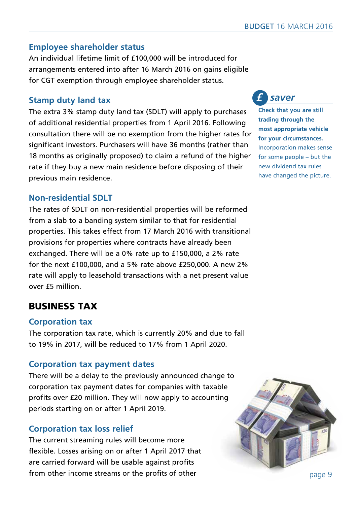## **Employee shareholder status**

An individual lifetime limit of £100,000 will be introduced for arrangements entered into after 16 March 2016 on gains eligible for CGT exemption through employee shareholder status.

## **Stamp duty land tax**

The extra 3% stamp duty land tax (SDLT) will apply to purchases of additional residential properties from 1 April 2016. Following consultation there will be no exemption from the higher rates for significant investors. Purchasers will have 36 months (rather than 18 months as originally proposed) to claim a refund of the higher rate if they buy a new main residence before disposing of their previous main residence.

## **Non-residential SDLT**

The rates of SDLT on non-residential properties will be reformed from a slab to a banding system similar to that for residential properties. This takes effect from 17 March 2016 with transitional provisions for properties where contracts have already been exchanged. There will be a 0% rate up to £150,000, a 2% rate for the next £100,000, and a 5% rate above £250,000. A new 2% rate will apply to leasehold transactions with a net present value over £5 million.

## BUSINESS TAX

## **Corporation tax**

The corporation tax rate, which is currently 20% and due to fall to 19% in 2017, will be reduced to 17% from 1 April 2020.

## **Corporation tax payment dates**

There will be a delay to the previously announced change to corporation tax payment dates for companies with taxable profits over £20 million. They will now apply to accounting periods starting on or after 1 April 2019.

## **Corporation tax loss relief**

The current streaming rules will become more flexible. Losses arising on or after 1 April 2017 that are carried forward will be usable against profits from other income streams or the profits of other



#### *saver £*

**Check that you are still trading through the most appropriate vehicle for your circumstances.**  Incorporation makes sense for some people – but the new dividend tax rules have changed the picture.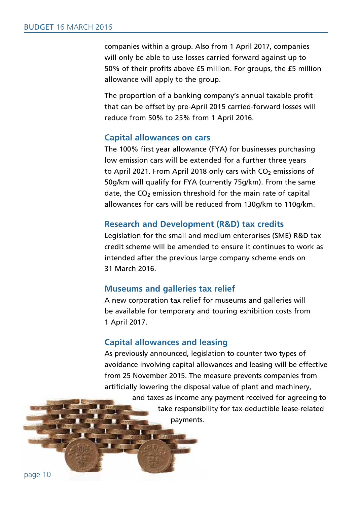companies within a group. Also from 1 April 2017, companies will only be able to use losses carried forward against up to 50% of their profits above £5 million. For groups, the £5 million allowance will apply to the group.

The proportion of a banking company's annual taxable profit that can be offset by pre-April 2015 carried-forward losses will reduce from 50% to 25% from 1 April 2016.

#### **Capital allowances on cars**

The 100% first year allowance (FYA) for businesses purchasing low emission cars will be extended for a further three years to April 2021. From April 2018 only cars with  $CO<sub>2</sub>$  emissions of 50g/km will qualify for FYA (currently 75g/km). From the same  $date, the CO<sub>2</sub> emission threshold for the main rate of capital$ allowances for cars will be reduced from 130g/km to 110g/km.

#### **Research and Development (R&D) tax credits**

Legislation for the small and medium enterprises (SME) R&D tax credit scheme will be amended to ensure it continues to work as intended after the previous large company scheme ends on 31 March 2016.

#### **Museums and galleries tax relief**

A new corporation tax relief for museums and galleries will be available for temporary and touring exhibition costs from 1 April 2017.

#### **Capital allowances and leasing**

As previously announced, legislation to counter two types of avoidance involving capital allowances and leasing will be effective from 25 November 2015. The measure prevents companies from artificially lowering the disposal value of plant and machinery,

> and taxes as income any payment received for agreeing to take responsibility for tax-deductible lease-related payments.

page 10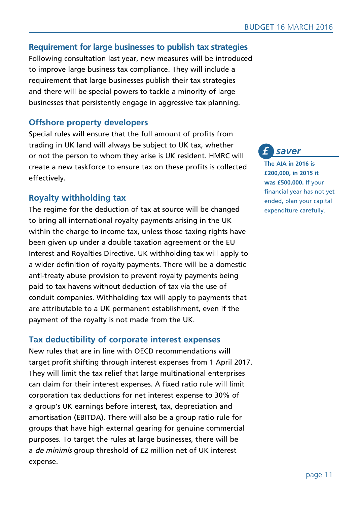## **Requirement for large businesses to publish tax strategies**

Following consultation last year, new measures will be introduced to improve large business tax compliance. They will include a requirement that large businesses publish their tax strategies and there will be special powers to tackle a minority of large businesses that persistently engage in aggressive tax planning.

## **Offshore property developers**

Special rules will ensure that the full amount of profits from trading in UK land will always be subject to UK tax, whether or not the person to whom they arise is UK resident. HMRC will create a new taskforce to ensure tax on these profits is collected effectively.

## **Royalty withholding tax**

The regime for the deduction of tax at source will be changed to bring all international royalty payments arising in the UK within the charge to income tax, unless those taxing rights have been given up under a double taxation agreement or the EU Interest and Royalties Directive. UK withholding tax will apply to a wider definition of royalty payments. There will be a domestic anti-treaty abuse provision to prevent royalty payments being paid to tax havens without deduction of tax via the use of conduit companies. Withholding tax will apply to payments that are attributable to a UK permanent establishment, even if the payment of the royalty is not made from the UK.

## **Tax deductibility of corporate interest expenses**

New rules that are in line with OECD recommendations will target profit shifting through interest expenses from 1 April 2017. They will limit the tax relief that large multinational enterprises can claim for their interest expenses. A fixed ratio rule will limit corporation tax deductions for net interest expense to 30% of a group's UK earnings before interest, tax, depreciation and amortisation (EBITDA). There will also be a group ratio rule for groups that have high external gearing for genuine commercial purposes. To target the rules at large businesses, there will be a *de minimis* group threshold of £2 million net of UK interest expense.

 *saver £*

**The AIA in 2016 is £200,000, in 2015 it was £500,000.** If your financial year has not yet ended, plan your capital expenditure carefully.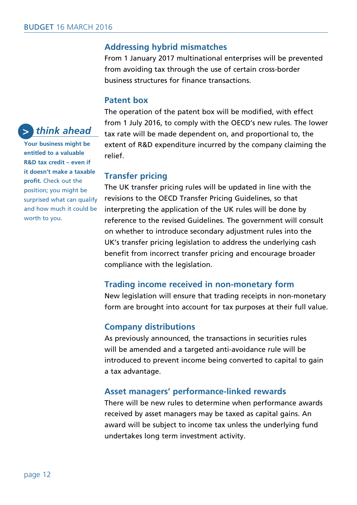## **Addressing hybrid mismatches**

From 1 January 2017 multinational enterprises will be prevented from avoiding tax through the use of certain cross-border business structures for finance transactions.

#### **Patent box**

The operation of the patent box will be modified, with effect from 1 July 2016, to comply with the OECD's new rules. The lower tax rate will be made dependent on, and proportional to, the extent of R&D expenditure incurred by the company claiming the relief.

#### **Transfer pricing**

The UK transfer pricing rules will be updated in line with the revisions to the OECD Transfer Pricing Guidelines, so that interpreting the application of the UK rules will be done by reference to the revised Guidelines. The government will consult on whether to introduce secondary adjustment rules into the UK's transfer pricing legislation to address the underlying cash benefit from incorrect transfer pricing and encourage broader compliance with the legislation.

#### **Trading income received in non-monetary form**

New legislation will ensure that trading receipts in non-monetary form are brought into account for tax purposes at their full value.

#### **Company distributions**

As previously announced, the transactions in securities rules will be amended and a targeted anti-avoidance rule will be introduced to prevent income being converted to capital to gain a tax advantage.

#### **Asset managers' performance-linked rewards**

There will be new rules to determine when performance awards received by asset managers may be taxed as capital gains. An award will be subject to income tax unless the underlying fund undertakes long term investment activity.

#### *think ahead >*

**Your business might be entitled to a valuable R&D tax credit – even if it doesn't make a taxable profit.** Check out the position; you might be surprised what can qualify and how much it could be worth to you.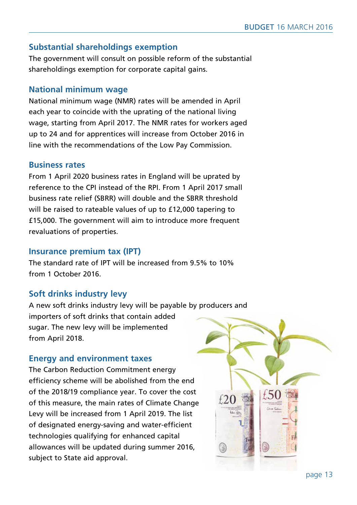## **Substantial shareholdings exemption**

The government will consult on possible reform of the substantial shareholdings exemption for corporate capital gains.

#### **National minimum wage**

National minimum wage (NMR) rates will be amended in April each year to coincide with the uprating of the national living wage, starting from April 2017. The NMR rates for workers aged up to 24 and for apprentices will increase from October 2016 in line with the recommendations of the Low Pay Commission.

## **Business rates**

From 1 April 2020 business rates in England will be uprated by reference to the CPI instead of the RPI. From 1 April 2017 small business rate relief (SBRR) will double and the SBRR threshold will be raised to rateable values of up to £12,000 tapering to £15,000. The government will aim to introduce more frequent revaluations of properties.

#### **Insurance premium tax (IPT)**

The standard rate of IPT will be increased from 9.5% to 10% from 1 October 2016.

## **Soft drinks industry levy**

A new soft drinks industry levy will be payable by producers and importers of soft drinks that contain added sugar. The new levy will be implemented from April 2018.

## **Energy and environment taxes**

The Carbon Reduction Commitment energy efficiency scheme will be abolished from the end of the 2018/19 compliance year. To cover the cost of this measure, the main rates of Climate Change Levy will be increased from 1 April 2019. The list of designated energy-saving and water-efficient technologies qualifying for enhanced capital allowances will be updated during summer 2016, subject to State aid approval.

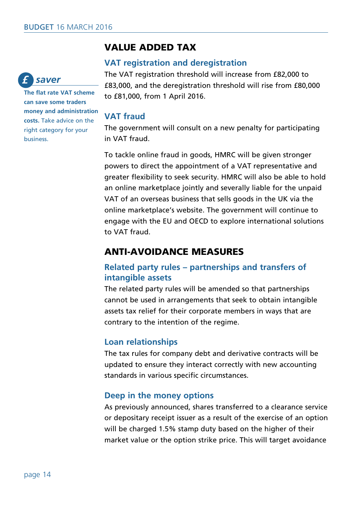## VALUE ADDED TAX

#### **VAT registration and deregistration**

The VAT registration threshold will increase from £82,000 to £83,000, and the deregistration threshold will rise from £80,000 to £81,000, from 1 April 2016.

#### **VAT fraud**

The government will consult on a new penalty for participating in VAT fraud.

To tackle online fraud in goods, HMRC will be given stronger powers to direct the appointment of a VAT representative and greater flexibility to seek security. HMRC will also be able to hold an online marketplace jointly and severally liable for the unpaid VAT of an overseas business that sells goods in the UK via the online marketplace's website. The government will continue to engage with the EU and OECD to explore international solutions to VAT fraud.

## ANTI-AVOIDANCE MEASURES

## **Related party rules – partnerships and transfers of intangible assets**

The related party rules will be amended so that partnerships cannot be used in arrangements that seek to obtain intangible assets tax relief for their corporate members in ways that are contrary to the intention of the regime.

## **Loan relationships**

The tax rules for company debt and derivative contracts will be updated to ensure they interact correctly with new accounting standards in various specific circumstances.

## **Deep in the money options**

As previously announced, shares transferred to a clearance service or depositary receipt issuer as a result of the exercise of an option will be charged 1.5% stamp duty based on the higher of their market value or the option strike price. This will target avoidance



**The flat rate VAT scheme can save some traders money and administration costs.** Take advice on the right category for your business.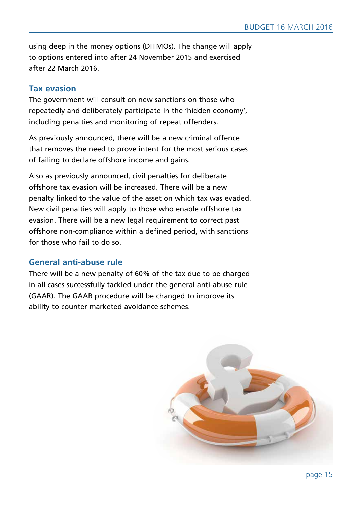using deep in the money options (DITMOs). The change will apply to options entered into after 24 November 2015 and exercised after 22 March 2016.

## **Tax evasion**

The government will consult on new sanctions on those who repeatedly and deliberately participate in the 'hidden economy', including penalties and monitoring of repeat offenders.

As previously announced, there will be a new criminal offence that removes the need to prove intent for the most serious cases of failing to declare offshore income and gains.

Also as previously announced, civil penalties for deliberate offshore tax evasion will be increased. There will be a new penalty linked to the value of the asset on which tax was evaded. New civil penalties will apply to those who enable offshore tax evasion. There will be a new legal requirement to correct past offshore non-compliance within a defined period, with sanctions for those who fail to do so.

## **General anti-abuse rule**

There will be a new penalty of 60% of the tax due to be charged in all cases successfully tackled under the general anti-abuse rule (GAAR). The GAAR procedure will be changed to improve its ability to counter marketed avoidance schemes.

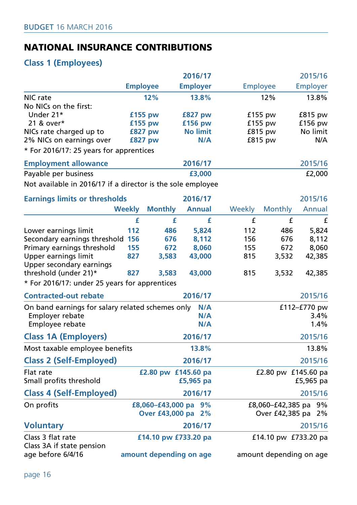## NATIONAL INSURANCE CONTRIBUTIONS

## **Class 1 (Employees)**

|                                                             | 2016/17               |                                            |                 |           |                 |                                      | 2015/16         |  |
|-------------------------------------------------------------|-----------------------|--------------------------------------------|-----------------|-----------|-----------------|--------------------------------------|-----------------|--|
|                                                             | <b>Employee</b>       |                                            | <b>Employer</b> |           | <b>Employee</b> |                                      | <b>Employer</b> |  |
| NIC rate                                                    | 12%                   |                                            | 13.8%           |           |                 | 12%                                  | 13.8%           |  |
| No NICs on the first:                                       |                       |                                            |                 |           |                 |                                      |                 |  |
| Under 21*                                                   | £155 pw               |                                            | <b>£827 pw</b>  |           | $f155$ pw       |                                      | $£815$ pw       |  |
| 21 & over*                                                  | £155 pw               |                                            | £156 pw         |           | $£155$ pw       |                                      | $£156$ pw       |  |
| NICs rate charged up to                                     | <b>£827 pw</b>        |                                            | <b>No limit</b> |           |                 | $£815$ pw                            | No limit        |  |
| 2% NICs on earnings over                                    | <b>£827 pw</b><br>N/A |                                            |                 | $£815$ pw |                 | N/A                                  |                 |  |
| * For 2016/17: 25 years for apprentices                     |                       |                                            |                 |           |                 |                                      |                 |  |
| <b>Employment allowance</b>                                 |                       |                                            | 2016/17         |           |                 |                                      | 2015/16         |  |
| Payable per business                                        |                       |                                            | £3,000          |           |                 |                                      | £2,000          |  |
| Not available in 2016/17 if a director is the sole employee |                       |                                            |                 |           |                 |                                      |                 |  |
| <b>Earnings limits or thresholds</b>                        |                       |                                            | 2016/17         |           |                 |                                      | 2015/16         |  |
| <b>Weekly</b>                                               |                       | <b>Monthly</b>                             | <b>Annual</b>   |           | Weekly          | <b>Monthly</b>                       | Annual          |  |
|                                                             | £                     | £                                          |                 | £         | £               | £                                    | £               |  |
| Lower earnings limit                                        | 112                   | 486                                        |                 | 5,824     | 112             | 486                                  | 5,824           |  |
| Secondary earnings threshold 156                            |                       | 676                                        |                 | 8,112     | 156             | 676                                  | 8,112           |  |
| Primary earnings threshold                                  | 155                   | 672                                        |                 | 8,060     | 155             | 672                                  | 8,060           |  |
| Upper earnings limit                                        | 827                   | 3,583                                      | 43,000          |           | 815             | 3,532                                | 42,385          |  |
| Upper secondary earnings                                    |                       |                                            |                 |           |                 |                                      |                 |  |
| threshold (under 21)*                                       | 827                   | 3,583                                      | 43,000          |           | 815             | 3,532                                | 42,385          |  |
| * For 2016/17: under 25 years for apprentices               |                       |                                            |                 |           |                 |                                      |                 |  |
| <b>Contracted-out rebate</b>                                |                       |                                            | 2016/17         |           |                 |                                      | 2015/16         |  |
| On band earnings for salary related schemes only            |                       |                                            |                 | N/A       |                 |                                      | £112-£770 pw    |  |
| Employer rebate                                             |                       |                                            |                 | N/A       |                 |                                      | 3.4%            |  |
| Employee rebate                                             |                       |                                            |                 | N/A       |                 |                                      | 1.4%            |  |
| <b>Class 1A (Employers)</b>                                 |                       |                                            | 2016/17         |           |                 |                                      | 2015/16         |  |
| Most taxable employee benefits                              |                       |                                            | 13.8%           |           |                 |                                      | 13.8%           |  |
|                                                             |                       |                                            |                 |           |                 |                                      |                 |  |
| <b>Class 2 (Self-Employed)</b>                              | 2016/17               |                                            |                 |           | 2015/16         |                                      |                 |  |
| Flat rate<br>Small profits threshold                        |                       | £2.80 pw £145.60 pa                        | £5,965 pa       |           |                 | £2.80 pw £145.60 pa                  | £5,965 pa       |  |
| <b>Class 4 (Self-Employed)</b>                              |                       |                                            | 2016/17         |           |                 |                                      | 2015/16         |  |
|                                                             |                       |                                            |                 |           |                 |                                      |                 |  |
| On profits                                                  |                       | £8,060-£43,000 pa 9%<br>Over £43,000 pa 2% |                 |           |                 | £8,060-£42,385 pa<br>Over £42,385 pa | 9%<br>2%        |  |
| <b>Voluntary</b>                                            | 2016/17               |                                            |                 |           | 2015/16         |                                      |                 |  |

Class 3 flat rate **£14.10 pw £733.20 pa** £14.10 pw £733.20 pa Class 3A if state pension<br>age before 6/4/16 amount depending on age amount depending on age